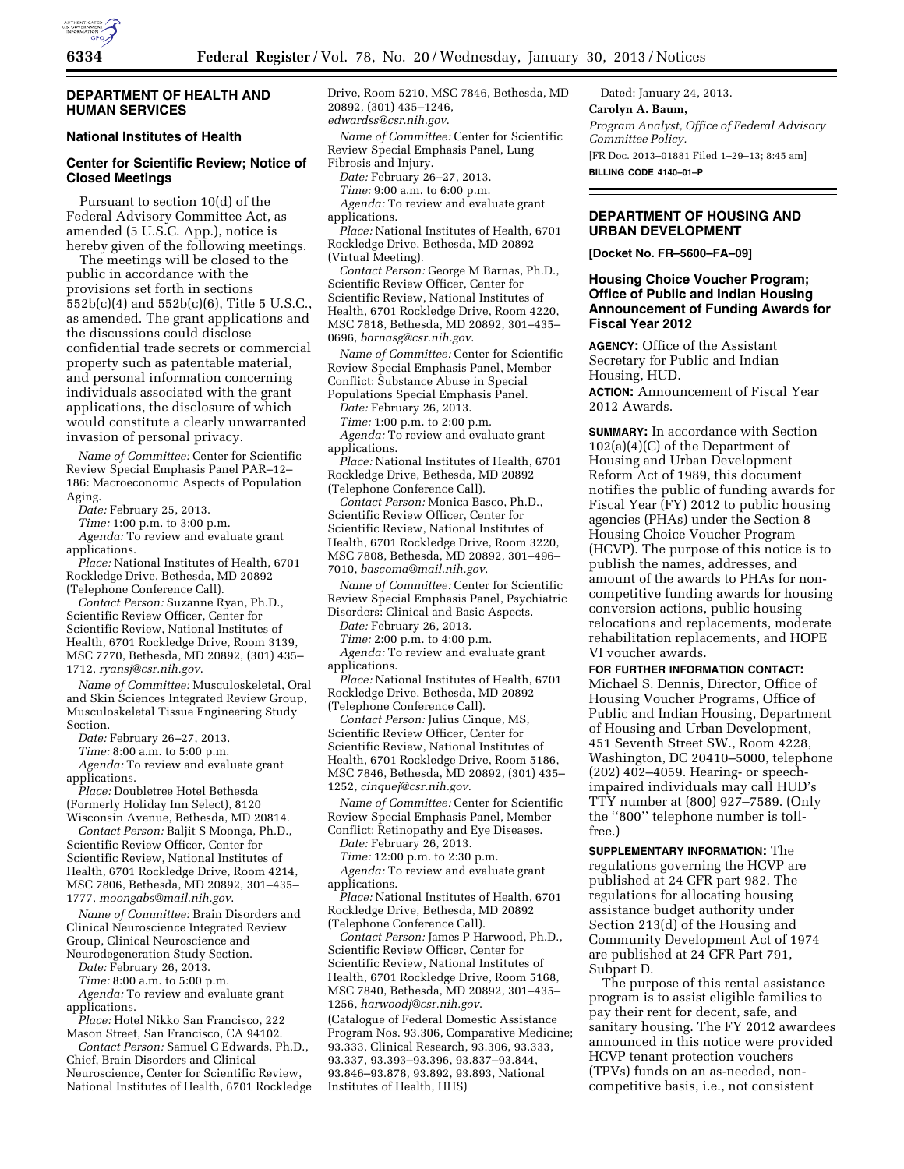

### **DEPARTMENT OF HEALTH AND HUMAN SERVICES**

## **National Institutes of Health**

# **Center for Scientific Review; Notice of Closed Meetings**

Pursuant to section 10(d) of the Federal Advisory Committee Act, as amended (5 U.S.C. App.), notice is hereby given of the following meetings.

The meetings will be closed to the public in accordance with the provisions set forth in sections 552b(c)(4) and 552b(c)(6), Title 5 U.S.C., as amended. The grant applications and the discussions could disclose confidential trade secrets or commercial property such as patentable material, and personal information concerning individuals associated with the grant applications, the disclosure of which would constitute a clearly unwarranted invasion of personal privacy.

*Name of Committee:* Center for Scientific Review Special Emphasis Panel PAR–12– 186: Macroeconomic Aspects of Population Aging.

*Date:* February 25, 2013.

*Time:* 1:00 p.m. to 3:00 p.m.

*Agenda:* To review and evaluate grant applications.

*Place:* National Institutes of Health, 6701 Rockledge Drive, Bethesda, MD 20892 (Telephone Conference Call).

*Contact Person:* Suzanne Ryan, Ph.D., Scientific Review Officer, Center for Scientific Review, National Institutes of Health, 6701 Rockledge Drive, Room 3139, MSC 7770, Bethesda, MD 20892, (301) 435– 1712, *[ryansj@csr.nih.gov](mailto:ryansj@csr.nih.gov)*.

*Name of Committee:* Musculoskeletal, Oral and Skin Sciences Integrated Review Group, Musculoskeletal Tissue Engineering Study Section.

*Date:* February 26–27, 2013.

*Time:* 8:00 a.m. to 5:00 p.m.

*Agenda:* To review and evaluate grant applications.

*Place:* Doubletree Hotel Bethesda (Formerly Holiday Inn Select), 8120

Wisconsin Avenue, Bethesda, MD 20814. *Contact Person:* Baljit S Moonga, Ph.D., Scientific Review Officer, Center for Scientific Review, National Institutes of

Health, 6701 Rockledge Drive, Room 4214, MSC 7806, Bethesda, MD 20892, 301–435– 1777, *[moongabs@mail.nih.gov](mailto:moongabs@mail.nih.gov)*.

*Name of Committee:* Brain Disorders and Clinical Neuroscience Integrated Review Group, Clinical Neuroscience and Neurodegeneration Study Section.

*Date:* February 26, 2013.

*Time:* 8:00 a.m. to 5:00 p.m.

*Agenda:* To review and evaluate grant applications.

*Place:* Hotel Nikko San Francisco, 222 Mason Street, San Francisco, CA 94102.

*Contact Person:* Samuel C Edwards, Ph.D., Chief, Brain Disorders and Clinical Neuroscience, Center for Scientific Review, National Institutes of Health, 6701 Rockledge Drive, Room 5210, MSC 7846, Bethesda, MD 20892, (301) 435–1246, *[edwardss@csr.nih.gov](mailto:edwardss@csr.nih.gov)*.

*Name of Committee:* Center for Scientific Review Special Emphasis Panel, Lung Fibrosis and Injury.

*Date:* February 26–27, 2013.

*Time:* 9:00 a.m. to 6:00 p.m.

*Agenda:* To review and evaluate grant applications.

*Place:* National Institutes of Health, 6701 Rockledge Drive, Bethesda, MD 20892 (Virtual Meeting).

*Contact Person:* George M Barnas, Ph.D., Scientific Review Officer, Center for Scientific Review, National Institutes of Health, 6701 Rockledge Drive, Room 4220, MSC 7818, Bethesda, MD 20892, 301–435– 0696, *[barnasg@csr.nih.gov](mailto:barnasg@csr.nih.gov)*.

*Name of Committee:* Center for Scientific Review Special Emphasis Panel, Member Conflict: Substance Abuse in Special Populations Special Emphasis Panel.

*Date:* February 26, 2013.

*Time:* 1:00 p.m. to 2:00 p.m.

*Agenda:* To review and evaluate grant applications.

*Place:* National Institutes of Health, 6701 Rockledge Drive, Bethesda, MD 20892 (Telephone Conference Call).

*Contact Person:* Monica Basco, Ph.D., Scientific Review Officer, Center for Scientific Review, National Institutes of Health, 6701 Rockledge Drive, Room 3220, MSC 7808, Bethesda, MD 20892, 301–496– 7010, *[bascoma@mail.nih.gov](mailto:bascoma@mail.nih.gov)*.

*Name of Committee:* Center for Scientific Review Special Emphasis Panel, Psychiatric Disorders: Clinical and Basic Aspects.

*Date:* February 26, 2013.

*Time:* 2:00 p.m. to 4:00 p.m. *Agenda:* To review and evaluate grant applications.

*Place:* National Institutes of Health, 6701 Rockledge Drive, Bethesda, MD 20892 (Telephone Conference Call).

*Contact Person:* Julius Cinque, MS, Scientific Review Officer, Center for Scientific Review, National Institutes of Health, 6701 Rockledge Drive, Room 5186, MSC 7846, Bethesda, MD 20892, (301) 435– 1252, *[cinquej@csr.nih.gov](mailto:cinquej@csr.nih.gov)*.

*Name of Committee:* Center for Scientific Review Special Emphasis Panel, Member Conflict: Retinopathy and Eye Diseases.

*Date:* February 26, 2013.

*Time:* 12:00 p.m. to 2:30 p.m. *Agenda:* To review and evaluate grant applications.

*Place:* National Institutes of Health, 6701 Rockledge Drive, Bethesda, MD 20892 (Telephone Conference Call).

*Contact Person:* James P Harwood, Ph.D., Scientific Review Officer, Center for Scientific Review, National Institutes of Health, 6701 Rockledge Drive, Room 5168, MSC 7840, Bethesda, MD 20892, 301–435– 1256, *[harwoodj@csr.nih.gov](mailto:harwoodj@csr.nih.gov)*.

(Catalogue of Federal Domestic Assistance Program Nos. 93.306, Comparative Medicine; 93.333, Clinical Research, 93.306, 93.333, 93.337, 93.393–93.396, 93.837–93.844, 93.846–93.878, 93.892, 93.893, National Institutes of Health, HHS)

Dated: January 24, 2013. **Carolyn A. Baum,**  *Program Analyst, Office of Federal Advisory Committee Policy.*  [FR Doc. 2013–01881 Filed 1–29–13; 8:45 am] **BILLING CODE 4140–01–P** 

### **DEPARTMENT OF HOUSING AND URBAN DEVELOPMENT**

**[Docket No. FR–5600–FA–09]** 

## **Housing Choice Voucher Program; Office of Public and Indian Housing Announcement of Funding Awards for Fiscal Year 2012**

**AGENCY:** Office of the Assistant Secretary for Public and Indian Housing, HUD.

**ACTION:** Announcement of Fiscal Year 2012 Awards.

**SUMMARY:** In accordance with Section 102(a)(4)(C) of the Department of Housing and Urban Development Reform Act of 1989, this document notifies the public of funding awards for Fiscal Year (FY) 2012 to public housing agencies (PHAs) under the Section 8 Housing Choice Voucher Program (HCVP). The purpose of this notice is to publish the names, addresses, and amount of the awards to PHAs for noncompetitive funding awards for housing conversion actions, public housing relocations and replacements, moderate rehabilitation replacements, and HOPE VI voucher awards.

**FOR FURTHER INFORMATION CONTACT:**  Michael S. Dennis, Director, Office of Housing Voucher Programs, Office of Public and Indian Housing, Department of Housing and Urban Development, 451 Seventh Street SW., Room 4228, Washington, DC 20410–5000, telephone (202) 402–4059. Hearing- or speechimpaired individuals may call HUD's TTY number at (800) 927–7589. (Only the ''800'' telephone number is tollfree.)

**SUPPLEMENTARY INFORMATION:** The regulations governing the HCVP are published at 24 CFR part 982. The regulations for allocating housing assistance budget authority under Section 213(d) of the Housing and Community Development Act of 1974 are published at 24 CFR Part 791, Subpart D.

The purpose of this rental assistance program is to assist eligible families to pay their rent for decent, safe, and sanitary housing. The FY 2012 awardees announced in this notice were provided HCVP tenant protection vouchers (TPVs) funds on an as-needed, noncompetitive basis, i.e., not consistent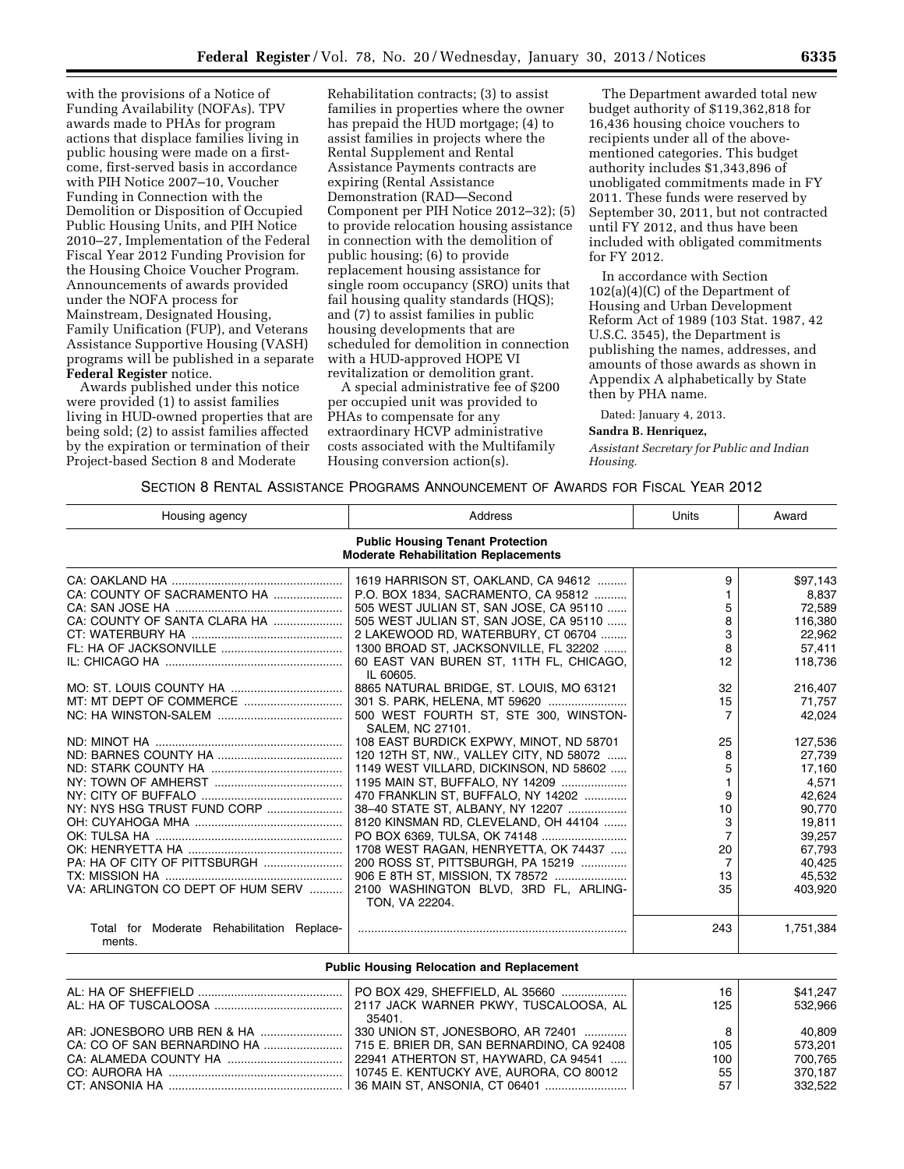with the provisions of a Notice of Funding Availability (NOFAs). TPV awards made to PHAs for program actions that displace families living in public housing were made on a firstcome, first-served basis in accordance with PIH Notice 2007–10, Voucher Funding in Connection with the Demolition or Disposition of Occupied Public Housing Units, and PIH Notice 2010–27, Implementation of the Federal Fiscal Year 2012 Funding Provision for the Housing Choice Voucher Program. Announcements of awards provided under the NOFA process for Mainstream, Designated Housing, Family Unification (FUP), and Veterans Assistance Supportive Housing (VASH) programs will be published in a separate **Federal Register** notice.

Awards published under this notice were provided (1) to assist families living in HUD-owned properties that are being sold; (2) to assist families affected by the expiration or termination of their Project-based Section 8 and Moderate

Rehabilitation contracts; (3) to assist families in properties where the owner has prepaid the HUD mortgage; (4) to assist families in projects where the Rental Supplement and Rental Assistance Payments contracts are expiring (Rental Assistance Demonstration (RAD—Second Component per PIH Notice 2012–32); (5) to provide relocation housing assistance in connection with the demolition of public housing; (6) to provide replacement housing assistance for single room occupancy (SRO) units that fail housing quality standards (HQS); and (7) to assist families in public housing developments that are scheduled for demolition in connection with a HUD-approved HOPE VI revitalization or demolition grant.

A special administrative fee of \$200 per occupied unit was provided to PHAs to compensate for any extraordinary HCVP administrative costs associated with the Multifamily Housing conversion action(s).

The Department awarded total new budget authority of \$119,362,818 for 16,436 housing choice vouchers to recipients under all of the abovementioned categories. This budget authority includes \$1,343,896 of unobligated commitments made in FY 2011. These funds were reserved by September 30, 2011, but not contracted until FY 2012, and thus have been included with obligated commitments for FY 2012.

In accordance with Section 102(a)(4)(C) of the Department of Housing and Urban Development Reform Act of 1989 (103 Stat. 1987, 42 U.S.C. 3545), the Department is publishing the names, addresses, and amounts of those awards as shown in Appendix A alphabetically by State then by PHA name.

Dated: January 4, 2013.

#### **Sandra B. Henriquez,**

*Assistant Secretary for Public and Indian Housing.* 

### SECTION 8 RENTAL ASSISTANCE PROGRAMS ANNOUNCEMENT OF AWARDS FOR FISCAL YEAR 2012

| Housing agency                                       | Address                                                                                | Units          | Award     |
|------------------------------------------------------|----------------------------------------------------------------------------------------|----------------|-----------|
|                                                      | <b>Public Housing Tenant Protection</b><br><b>Moderate Rehabilitation Replacements</b> |                |           |
|                                                      | 1619 HARRISON ST, OAKLAND, CA 94612                                                    | 9              | \$97,143  |
| CA: COUNTY OF SACRAMENTO HA                          | P.O. BOX 1834, SACRAMENTO, CA 95812                                                    |                | 8,837     |
|                                                      | 505 WEST JULIAN ST, SAN JOSE, CA 95110                                                 | 5              | 72,589    |
| CA: COUNTY OF SANTA CLARA HA                         | 505 WEST JULIAN ST, SAN JOSE, CA 95110                                                 | 8              | 116,380   |
|                                                      | 2 LAKEWOOD RD, WATERBURY, CT 06704                                                     | 3              | 22,962    |
|                                                      | 1300 BROAD ST, JACKSONVILLE, FL 32202                                                  | 8              | 57,411    |
|                                                      | 60 EAST VAN BUREN ST, 11TH FL, CHICAGO,<br>IL 60605.                                   | 12             | 118,736   |
|                                                      | 8865 NATURAL BRIDGE, ST. LOUIS, MO 63121                                               | 32             | 216,407   |
|                                                      |                                                                                        | 15             | 71,757    |
|                                                      | 500 WEST FOURTH ST, STE 300, WINSTON-<br>SALEM, NC 27101.                              | 7              | 42,024    |
|                                                      | 108 EAST BURDICK EXPWY, MINOT, ND 58701                                                | 25             | 127,536   |
|                                                      | 120 12TH ST, NW., VALLEY CITY, ND 58072                                                | 8              | 27,739    |
|                                                      | 1149 WEST VILLARD, DICKINSON, ND 58602                                                 | 5              | 17,160    |
|                                                      | 1195 MAIN ST, BUFFALO, NY 14209                                                        | $\mathbf{1}$   | 4,571     |
|                                                      | 470 FRANKLIN ST, BUFFALO, NY 14202                                                     | 9              | 42.624    |
| NY: NYS HSG TRUST FUND CORP                          | 38-40 STATE ST, ALBANY, NY 12207                                                       | 10             | 90,770    |
|                                                      | 8120 KINSMAN RD, CLEVELAND, OH 44104                                                   | 3              | 19,811    |
|                                                      | PO BOX 6369, TULSA, OK 74148                                                           | $\overline{7}$ | 39,257    |
|                                                      | 1708 WEST RAGAN, HENRYETTA, OK 74437                                                   | 20             | 67.793    |
| PA: HA OF CITY OF PITTSBURGH                         | 200 ROSS ST, PITTSBURGH, PA 15219                                                      | $\overline{7}$ | 40,425    |
|                                                      | 906 E 8TH ST, MISSION, TX 78572                                                        | 13             | 45,532    |
| VA: ARLINGTON CO DEPT OF HUM SERV                    | 2100 WASHINGTON BLVD, 3RD FL, ARLING-<br>TON, VA 22204.                                | 35             | 403,920   |
| Total for Moderate Rehabilitation Replace-<br>ments. |                                                                                        | 243            | 1,751,384 |

#### **Public Housing Relocation and Replacement**

| PO BOX 429, SHEFFIELD, AL 35660         | 16              | \$41.247 |
|-----------------------------------------|-----------------|----------|
|                                         | 125             | 532,966  |
| 35401                                   |                 |          |
| 330 UNION ST, JONESBORO, AR 72401       | 8               | 40.809   |
|                                         | 105             | 573.201  |
| 22941 ATHERTON ST, HAYWARD, CA 94541    | 100             | 700.765  |
| 10745 E. KENTUCKY AVE, AURORA, CO 80012 | 55              | 370.187  |
|                                         | 57 <sup>1</sup> | 332.522  |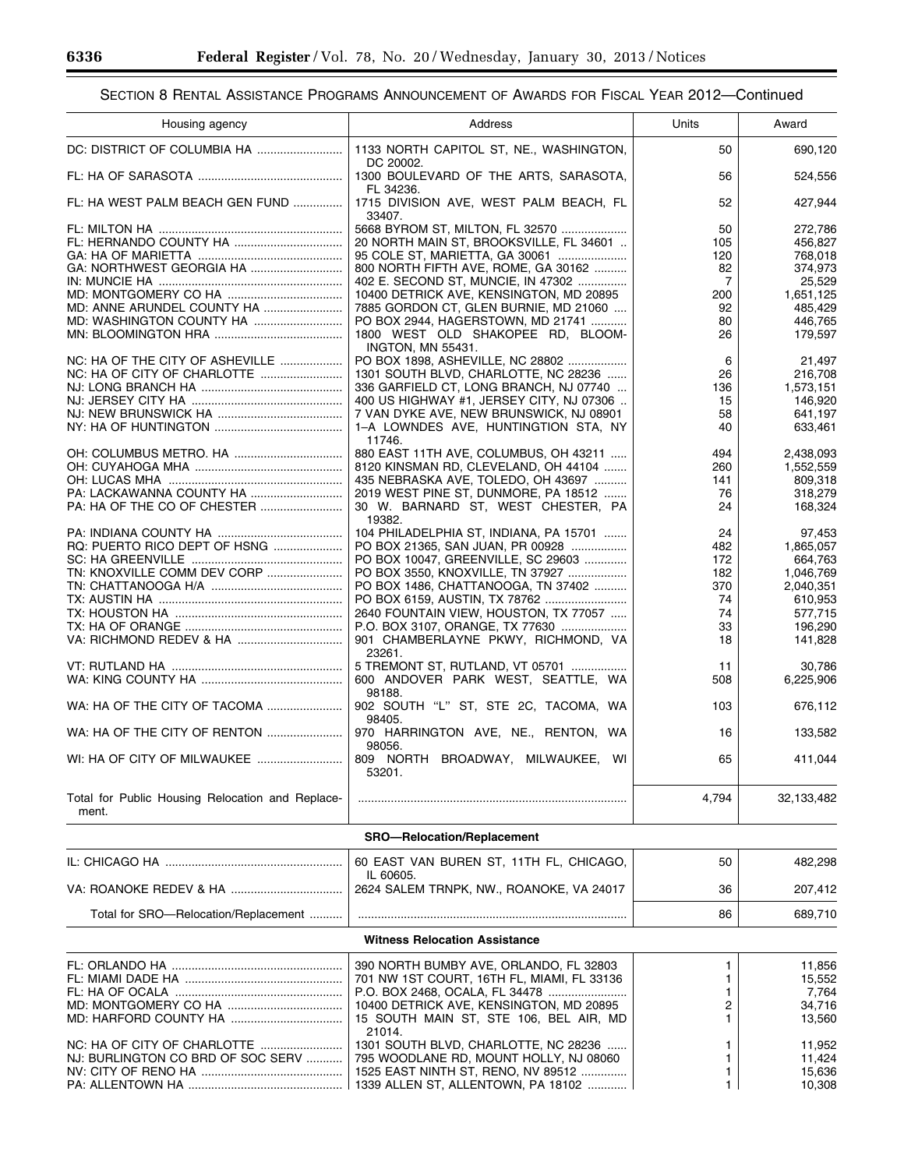| Housing agency                                            | Address                                                                              | Units          | Award            |
|-----------------------------------------------------------|--------------------------------------------------------------------------------------|----------------|------------------|
|                                                           | 1133 NORTH CAPITOL ST, NE., WASHINGTON,                                              | 50             | 690,120          |
|                                                           | DC 20002.<br>1300 BOULEVARD OF THE ARTS, SARASOTA,<br>FL 34236.                      | 56             | 524,556          |
| FL: HA WEST PALM BEACH GEN FUND                           | 1715 DIVISION AVE, WEST PALM BEACH, FL<br>33407.                                     | 52             | 427,944          |
|                                                           | 5668 BYROM ST, MILTON, FL 32570                                                      | 50             | 272,786          |
|                                                           | 20 NORTH MAIN ST, BROOKSVILLE, FL 34601                                              | 105            | 456,827          |
|                                                           | 95 COLE ST, MARIETTA, GA 30061                                                       | 120            | 768,018          |
|                                                           | 800 NORTH FIFTH AVE, ROME, GA 30162                                                  | 82             | 374,973          |
|                                                           | 402 E. SECOND ST, MUNCIE, IN 47302                                                   | $\overline{7}$ | 25,529           |
|                                                           | 10400 DETRICK AVE, KENSINGTON, MD 20895                                              | 200            | 1,651,125        |
|                                                           | 7885 GORDON CT, GLEN BURNIE, MD 21060                                                | 92             | 485,429          |
|                                                           | PO BOX 2944, HAGERSTOWN, MD 21741                                                    | 80             | 446,765          |
|                                                           | 1800 WEST OLD SHAKOPEE RD, BLOOM-                                                    | 26             | 179,597          |
| NC: HA OF THE CITY OF ASHEVILLE                           | <b>INGTON, MN 55431.</b><br>PO BOX 1898, ASHEVILLE, NC 28802                         | 6              | 21,497           |
|                                                           | 1301 SOUTH BLVD, CHARLOTTE, NC 28236                                                 | 26             | 216,708          |
|                                                           | 336 GARFIELD CT, LONG BRANCH, NJ 07740                                               | 136            | 1,573,151        |
|                                                           | 400 US HIGHWAY #1, JERSEY CITY, NJ 07306                                             | 15             | 146,920          |
|                                                           | 7 VAN DYKE AVE, NEW BRUNSWICK, NJ 08901                                              | 58             | 641,197          |
|                                                           | 1-A LOWNDES AVE, HUNTINGTION STA, NY                                                 | 40             | 633,461          |
|                                                           | 11746.                                                                               |                |                  |
|                                                           | 880 EAST 11TH AVE, COLUMBUS, OH 43211                                                | 494            | 2,438,093        |
|                                                           | 8120 KINSMAN RD, CLEVELAND, OH 44104                                                 | 260            | 1,552,559        |
|                                                           | 435 NEBRASKA AVE, TOLEDO, OH 43697                                                   | 141            | 809,318          |
|                                                           | 2019 WEST PINE ST, DUNMORE, PA 18512                                                 | 76             | 318,279          |
|                                                           | 30 W. BARNARD ST, WEST CHESTER, PA                                                   | 24             | 168,324          |
|                                                           | 19382.<br>104 PHILADELPHIA ST, INDIANA, PA 15701                                     | 24             | 97,453           |
| RQ: PUERTO RICO DEPT OF HSNG                              | PO BOX 21365, SAN JUAN, PR 00928                                                     | 482            | 1,865,057        |
|                                                           | PO BOX 10047, GREENVILLE, SC 29603                                                   | 172            | 664,763          |
| TN: KNOXVILLE COMM DEV CORP                               | PO BOX 3550, KNOXVILLE, TN 37927                                                     | 182            | 1,046,769        |
|                                                           | PO BOX 1486, CHATTANOOGA, TN 37402                                                   | 370            | 2,040,351        |
|                                                           |                                                                                      | 74             | 610,953          |
|                                                           | 2640 FOUNTAIN VIEW, HOUSTON, TX 77057                                                | 74             | 577,715          |
|                                                           | P.O. BOX 3107, ORANGE, TX 77630                                                      | 33             | 196,290          |
|                                                           | 901 CHAMBERLAYNE PKWY, RICHMOND, VA                                                  | 18             | 141,828          |
|                                                           | 23261.                                                                               |                |                  |
|                                                           | 5 TREMONT ST, RUTLAND, VT 05701                                                      | 11             | 30,786           |
|                                                           | 600 ANDOVER PARK WEST, SEATTLE, WA<br>98188.                                         | 508            | 6,225,906        |
| WA: HA OF THE CITY OF TACOMA                              | 902 SOUTH "L" ST, STE 2C, TACOMA, WA<br>98405.                                       | 103            | 676,112          |
|                                                           | 970 HARRINGTON AVE, NE., RENTON, WA<br>98056.                                        | 16             | 133,582          |
| WI: HA OF CITY OF MILWAUKEE                               | 809 NORTH BROADWAY, MILWAUKEE, WI<br>53201.                                          | 65             | 411,044          |
| Total for Public Housing Relocation and Replace-<br>ment. |                                                                                      | 4,794          | 32,133,482       |
|                                                           | SRO-Relocation/Replacement                                                           |                |                  |
|                                                           | 60 EAST VAN BUREN ST, 11TH FL, CHICAGO,                                              | 50             | 482,298          |
|                                                           | IL 60605.<br>2624 SALEM TRNPK, NW., ROANOKE, VA 24017                                | 36             | 207,412          |
| Total for SRO-Relocation/Replacement                      |                                                                                      | 86             | 689,710          |
|                                                           | <b>Witness Relocation Assistance</b>                                                 |                |                  |
|                                                           |                                                                                      |                |                  |
|                                                           | 390 NORTH BUMBY AVE, ORLANDO, FL 32803<br>701 NW 1ST COURT, 16TH FL, MIAMI, FL 33136 | 1<br>1.        | 11,856<br>15,552 |
| FL: HA OF OCALA                                           |                                                                                      | 1.             | 7,764            |
|                                                           | 10400 DETRICK AVE, KENSINGTON, MD 20895                                              | 2              | 34,716           |

MD: HARFORD COUNTY HA .................................. 15 SOUTH MAIN ST, STE 106, BEL AIR, MD 21014. 1 13,560 NC: HA OF CITY OF CHARLOTTE ......................... 1301 SOUTH BLVD, CHARLOTTE, NC 28236 ...... 1 11,952 NJ: BURLINGTON CO BRD OF SOC SERV ……….. | 795 WOODLANE RD, MOUNT HOLLY, NJ 08060 | 1 NV: CITY OF RENO HA ........................................... 1525 EAST NINTH ST, RENO, NV 89512 .............. 1 15,636 PA: ALLENTOWN HA ............................................... 1339 ALLEN ST, ALLENTOWN, PA 18102 ............ 1 10,308

۳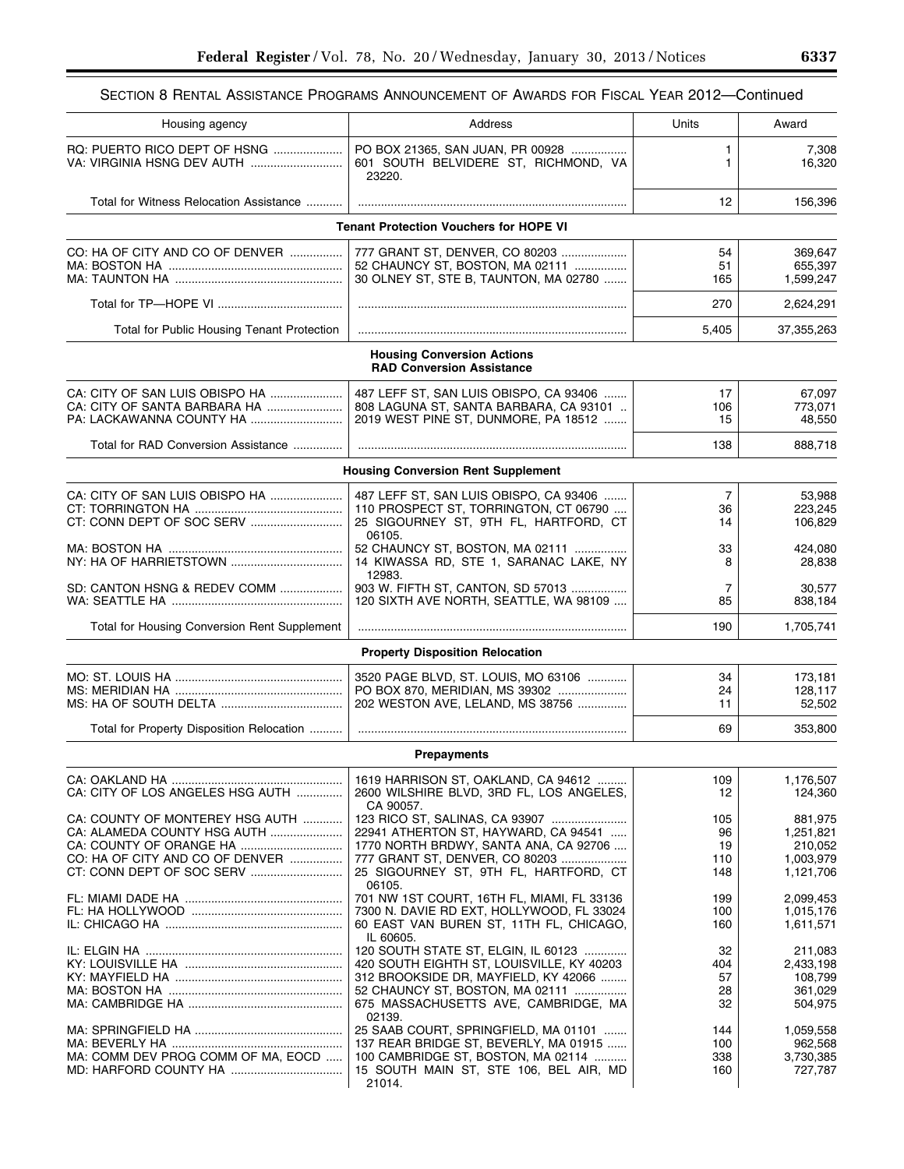| Section 8 Rental Assistance Programs Announcement of Awards for Fiscal Year 2012—Continued |  |  |  |
|--------------------------------------------------------------------------------------------|--|--|--|
|--------------------------------------------------------------------------------------------|--|--|--|

| Housing agency                                      | Address                                                                            | Units      | Award                  |
|-----------------------------------------------------|------------------------------------------------------------------------------------|------------|------------------------|
| RQ: PUERTO RICO DEPT OF HSNG                        | PO BOX 21365, SAN JUAN, PR 00928<br>601 SOUTH BELVIDERE ST, RICHMOND, VA<br>23220. | 1<br>1     | 7,308<br>16,320        |
| Total for Witness Relocation Assistance             |                                                                                    | 12         | 156,396                |
|                                                     | <b>Tenant Protection Vouchers for HOPE VI</b>                                      |            |                        |
| CO: HA OF CITY AND CO OF DENVER                     | 777 GRANT ST, DENVER, CO 80203                                                     | 54         | 369,647                |
|                                                     | 52 CHAUNCY ST, BOSTON, MA 02111                                                    | 51         | 655,397                |
|                                                     | 30 OLNEY ST, STE B, TAUNTON, MA 02780                                              | 165        | 1,599,247              |
|                                                     |                                                                                    |            |                        |
|                                                     |                                                                                    | 270        | 2,624,291              |
| Total for Public Housing Tenant Protection          |                                                                                    | 5,405      | 37,355,263             |
|                                                     | <b>Housing Conversion Actions</b><br><b>RAD Conversion Assistance</b>              |            |                        |
| CA: CITY OF SAN LUIS OBISPO HA                      | 487 LEFF ST, SAN LUIS OBISPO, CA 93406                                             | 17         | 67,097                 |
| CA: CITY OF SANTA BARBARA HA                        | 808 LAGUNA ST. SANTA BARBARA, CA 93101                                             | 106        | 773,071                |
|                                                     | 2019 WEST PINE ST, DUNMORE, PA 18512                                               | 15         | 48,550                 |
| Total for RAD Conversion Assistance                 |                                                                                    | 138        | 888,718                |
|                                                     | <b>Housing Conversion Rent Supplement</b>                                          |            |                        |
|                                                     |                                                                                    |            |                        |
|                                                     | 487 LEFF ST, SAN LUIS OBISPO, CA 93406                                             | 7          | 53,988                 |
|                                                     | 110 PROSPECT ST, TORRINGTON, CT 06790                                              | 36         | 223,245                |
|                                                     | 25 SIGOURNEY ST, 9TH FL, HARTFORD, CT<br>06105.                                    | 14         | 106.829                |
|                                                     | 52 CHAUNCY ST, BOSTON, MA 02111                                                    | 33         | 424,080                |
|                                                     | 14 KIWASSA RD, STE 1, SARANAC LAKE, NY                                             | 8          | 28,838                 |
|                                                     | 12983.                                                                             |            |                        |
| SD: CANTON HSNG & REDEV COMM                        | 903 W. FIFTH ST, CANTON, SD 57013<br>120 SIXTH AVE NORTH, SEATTLE, WA 98109        | 7<br>85    | 30,577<br>838,184      |
|                                                     |                                                                                    |            |                        |
| <b>Total for Housing Conversion Rent Supplement</b> |                                                                                    | 190        | 1,705,741              |
|                                                     | <b>Property Disposition Relocation</b>                                             |            |                        |
|                                                     | 3520 PAGE BLVD, ST. LOUIS, MO 63106                                                | 34         | 173,181                |
|                                                     | PO BOX 870, MERIDIAN, MS 39302                                                     | 24         | 128,117                |
|                                                     | 202 WESTON AVE, LELAND, MS 38756                                                   | 11         | 52,502                 |
| Total for Property Disposition Relocation           |                                                                                    | 69         | 353,800                |
|                                                     | <b>Prepayments</b>                                                                 |            |                        |
|                                                     |                                                                                    |            |                        |
| CA: CITY OF LOS ANGELES HSG AUTH                    | 1619 HARRISON ST, OAKLAND, CA 94612<br>2600 WILSHIRE BLVD, 3RD FL, LOS ANGELES,    | 109<br>12  | 1,176,507<br>124,360   |
|                                                     | CA 90057.                                                                          |            |                        |
| CA: COUNTY OF MONTEREY HSG AUTH                     | 123 RICO ST, SALINAS, CA 93907                                                     | 105        | 881,975                |
| CA: ALAMEDA COUNTY HSG AUTH                         | 22941 ATHERTON ST, HAYWARD, CA 94541                                               | 96         | 1,251,821              |
|                                                     | 1770 NORTH BRDWY, SANTA ANA, CA 92706                                              | 19         | 210,052                |
| CO: HA OF CITY AND CO OF DENVER                     | 777 GRANT ST, DENVER, CO 80203<br>25 SIGOURNEY ST, 9TH FL, HARTFORD, CT            | 110<br>148 | 1,003,979<br>1,121,706 |
|                                                     | 06105.                                                                             |            |                        |
|                                                     | 701 NW 1ST COURT, 16TH FL, MIAMI, FL 33136                                         | 199        | 2,099,453              |
|                                                     | 7300 N. DAVIE RD EXT, HOLLYWOOD, FL 33024                                          | 100        | 1,015,176              |
|                                                     | 60 EAST VAN BUREN ST, 11TH FL, CHICAGO,                                            | 160        | 1,611,571              |
|                                                     | IL 60605.<br>120 SOUTH STATE ST, ELGIN, IL 60123                                   |            |                        |
|                                                     | 420 SOUTH EIGHTH ST, LOUISVILLE, KY 40203                                          | 32<br>404  | 211,083<br>2,433,198   |
|                                                     | 312 BROOKSIDE DR, MAYFIELD, KY 42066                                               | 57         | 108,799                |
|                                                     | 52 CHAUNCY ST, BOSTON, MA 02111                                                    | 28         | 361,029                |
|                                                     | 675 MASSACHUSETTS AVE, CAMBRIDGE, MA                                               | 32         | 504,975                |
|                                                     | 02139.                                                                             |            |                        |
|                                                     | 25 SAAB COURT, SPRINGFIELD, MA 01101                                               | 144        | 1,059,558              |
| MA: COMM DEV PROG COMM OF MA, EOCD                  | 137 REAR BRIDGE ST, BEVERLY, MA 01915<br>100 CAMBRIDGE ST, BOSTON, MA 02114        | 100<br>338 | 962,568<br>3,730,385   |
|                                                     | 15 SOUTH MAIN ST, STE 106, BEL AIR, MD                                             | 160        | 727,787                |
|                                                     | 21014.                                                                             |            |                        |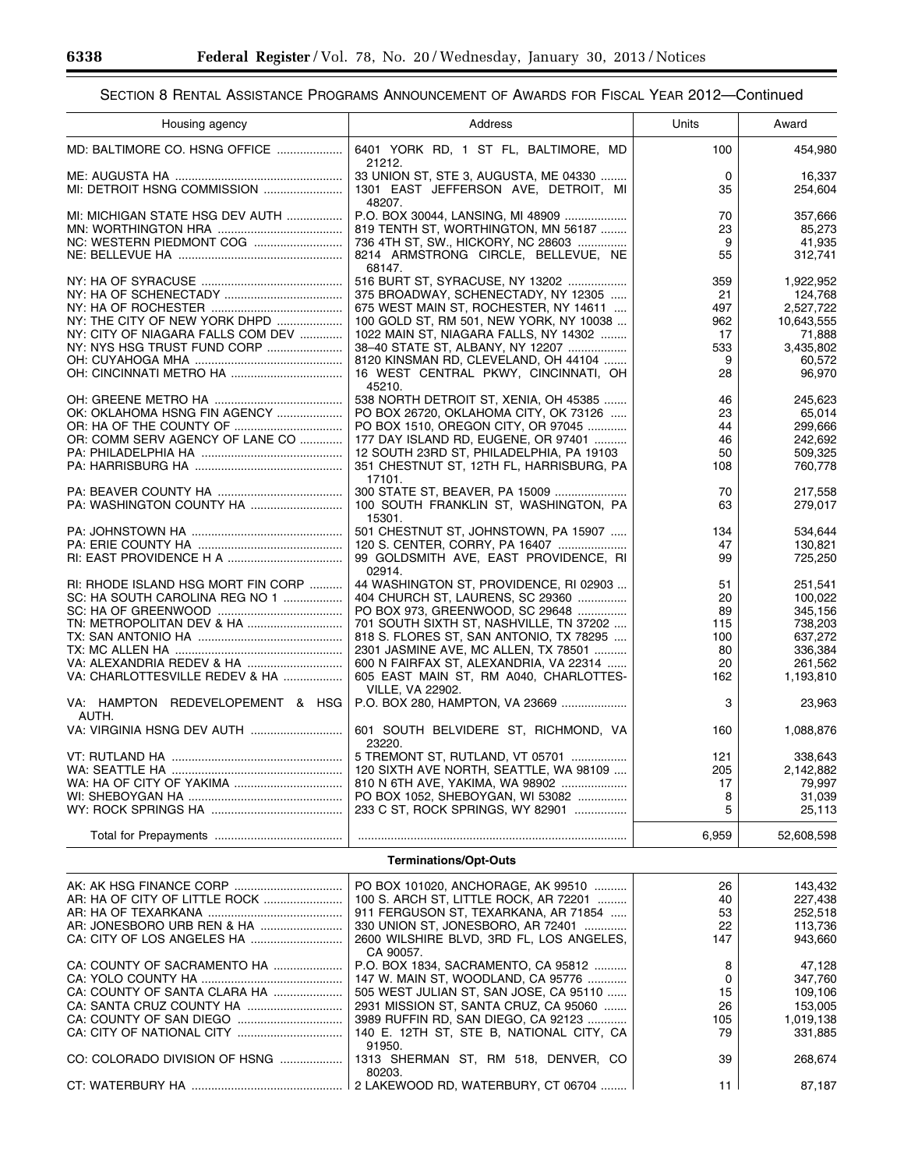| Housing agency                            | Address                                            | Units | Award      |
|-------------------------------------------|----------------------------------------------------|-------|------------|
| MD: BALTIMORE CO. HSNG OFFICE             | 6401 YORK RD, 1 ST FL, BALTIMORE, MD<br>21212.     | 100   | 454,980    |
|                                           | 33 UNION ST, STE 3, AUGUSTA, ME 04330              | 0     | 16,337     |
|                                           | 1301 EAST JEFFERSON AVE, DETROIT, MI<br>48207.     | 35    | 254,604    |
| MI: MICHIGAN STATE HSG DEV AUTH           | P.O. BOX 30044, LANSING, MI 48909                  | 70    | 357,666    |
|                                           | 819 TENTH ST, WORTHINGTON, MN 56187                | 23    | 85,273     |
|                                           | 736 4TH ST, SW., HICKORY, NC 28603                 | 9     | 41.935     |
|                                           | 8214 ARMSTRONG CIRCLE, BELLEVUE, NE<br>68147.      | 55    | 312,741    |
|                                           | 516 BURT ST, SYRACUSE, NY 13202                    | 359   | 1,922,952  |
|                                           | 375 BROADWAY, SCHENECTADY, NY 12305                | 21    | 124,768    |
|                                           | 675 WEST MAIN ST, ROCHESTER, NY 14611              | 497   | 2,527,722  |
| NY: THE CITY OF NEW YORK DHPD             | 100 GOLD ST, RM 501, NEW YORK, NY 10038            | 962   | 10,643,555 |
| NY: CITY OF NIAGARA FALLS COM DEV         | 1022 MAIN ST, NIAGARA FALLS, NY 14302              | 17    | 71,888     |
| NY: NYS HSG TRUST FUND CORP               | 38-40 STATE ST, ALBANY, NY 12207                   | 533   | 3,435,802  |
|                                           | 8120 KINSMAN RD, CLEVELAND, OH 44104               | 9     | 60,572     |
|                                           |                                                    |       |            |
|                                           | 16 WEST CENTRAL PKWY, CINCINNATI, OH<br>45210.     | 28    | 96,970     |
|                                           | 538 NORTH DETROIT ST, XENIA, OH 45385              | 46    | 245.623    |
| OK: OKLAHOMA HSNG FIN AGENCY              | PO BOX 26720, OKLAHOMA CITY, OK 73126              | 23    | 65,014     |
|                                           | PO BOX 1510, OREGON CITY, OR 97045                 | 44    | 299,666    |
| OR: COMM SERV AGENCY OF LANE CO           | 177 DAY ISLAND RD, EUGENE, OR 97401                | 46    | 242.692    |
|                                           | 12 SOUTH 23RD ST, PHILADELPHIA, PA 19103           | 50    | 509.325    |
|                                           | 351 CHESTNUT ST, 12TH FL, HARRISBURG, PA<br>17101. | 108   | 760,778    |
|                                           | 300 STATE ST, BEAVER, PA 15009                     | 70    | 217,558    |
|                                           | 100 SOUTH FRANKLIN ST, WASHINGTON, PA              | 63    | 279,017    |
|                                           | 15301.                                             |       |            |
|                                           | 501 CHESTNUT ST, JOHNSTOWN, PA 15907               | 134   | 534.644    |
|                                           | 120 S. CENTER, CORRY, PA 16407                     | 47    | 130,821    |
|                                           | 99 GOLDSMITH AVE, EAST PROVIDENCE, RI<br>02914.    | 99    | 725,250    |
| RI: RHODE ISLAND HSG MORT FIN CORP        | 44 WASHINGTON ST, PROVIDENCE, RI 02903             | 51    | 251,541    |
| SC: HA SOUTH CAROLINA REG NO 1            | 404 CHURCH ST, LAURENS, SC 29360                   | 20    | 100.022    |
|                                           | PO BOX 973, GREENWOOD, SC 29648                    | 89    | 345,156    |
|                                           | 701 SOUTH SIXTH ST, NASHVILLE, TN 37202            | 115   | 738,203    |
|                                           | 818 S. FLORES ST, SAN ANTONIO, TX 78295            | 100   | 637,272    |
|                                           | 2301 JASMINE AVE, MC ALLEN, TX 78501               | 80    | 336,384    |
|                                           | 600 N FAIRFAX ST, ALEXANDRIA, VA 22314             | 20    | 261,562    |
| VA: CHARLOTTESVILLE REDEV & HA            | 605 EAST MAIN ST, RM A040, CHARLOTTES-             | 162   | 1,193,810  |
|                                           | <b>VILLE, VA 22902.</b>                            |       |            |
| VA: HAMPTON REDEVELOPEMENT & HSG<br>AUTH. | P.O. BOX 280, HAMPTON, VA 23669                    | 3     | 23,963     |
|                                           | 601 SOUTH BELVIDERE ST, RICHMOND, VA<br>23220.     | 160   | 1,088,876  |
|                                           | 5 TREMONT ST, RUTLAND, VT 05701                    | 121   | 338,643    |
|                                           | 120 SIXTH AVE NORTH, SEATTLE, WA 98109             | 205   | 2,142,882  |
|                                           | 810 N 6TH AVE, YAKIMA, WA 98902                    | 17    | 79.997     |
|                                           | PO BOX 1052, SHEBOYGAN, WI 53082                   | 8     | 31,039     |
|                                           | 233 C ST, ROCK SPRINGS, WY 82901                   | 5     | 25,113     |
|                                           |                                                    |       |            |
|                                           |                                                    | 6.959 | 52,608,598 |

## **Terminations/Opt-Outs**

|                               | PO BOX 101020, ANCHORAGE, AK 99510                 | 26  | 143.432   |
|-------------------------------|----------------------------------------------------|-----|-----------|
| AR: HA OF CITY OF LITTLE ROCK | 100 S. ARCH ST, LITTLE ROCK, AR 72201              | 40  | 227.438   |
|                               | 911 FERGUSON ST. TEXARKANA. AR 71854               | 53  | 252.518   |
|                               | 330 UNION ST. JONESBORO. AR 72401                  | 22  | 113.736   |
|                               | 2600 WILSHIRE BLVD. 3RD FL. LOS ANGELES.           | 147 | 943.660   |
|                               | CA 90057.                                          |     |           |
| CA: COUNTY OF SACRAMENTO HA   | P.O. BOX 1834. SACRAMENTO. CA 95812                | 8   | 47.128    |
|                               | 147 W. MAIN ST, WOODLAND, CA 95776                 |     | 347.760   |
| CA: COUNTY OF SANTA CLARA HA  | 505 WEST JULIAN ST. SAN JOSE. CA 95110             | 15  | 109.106   |
|                               | 2931 MISSION ST. SANTA CRUZ. CA 95060              | 26  | 153.005   |
|                               | 3989 RUFFIN RD. SAN DIEGO. CA 92123                | 105 | 1.019.138 |
|                               | 140 E. 12TH ST. STE B. NATIONAL CITY. CA<br>91950. | 79  | 331,885   |
| CO: COLORADO DIVISION OF HSNG | 1313 SHERMAN ST. RM 518. DENVER. CO<br>80203.      | 39  | 268.674   |
|                               |                                                    | 11  | 87.187    |

-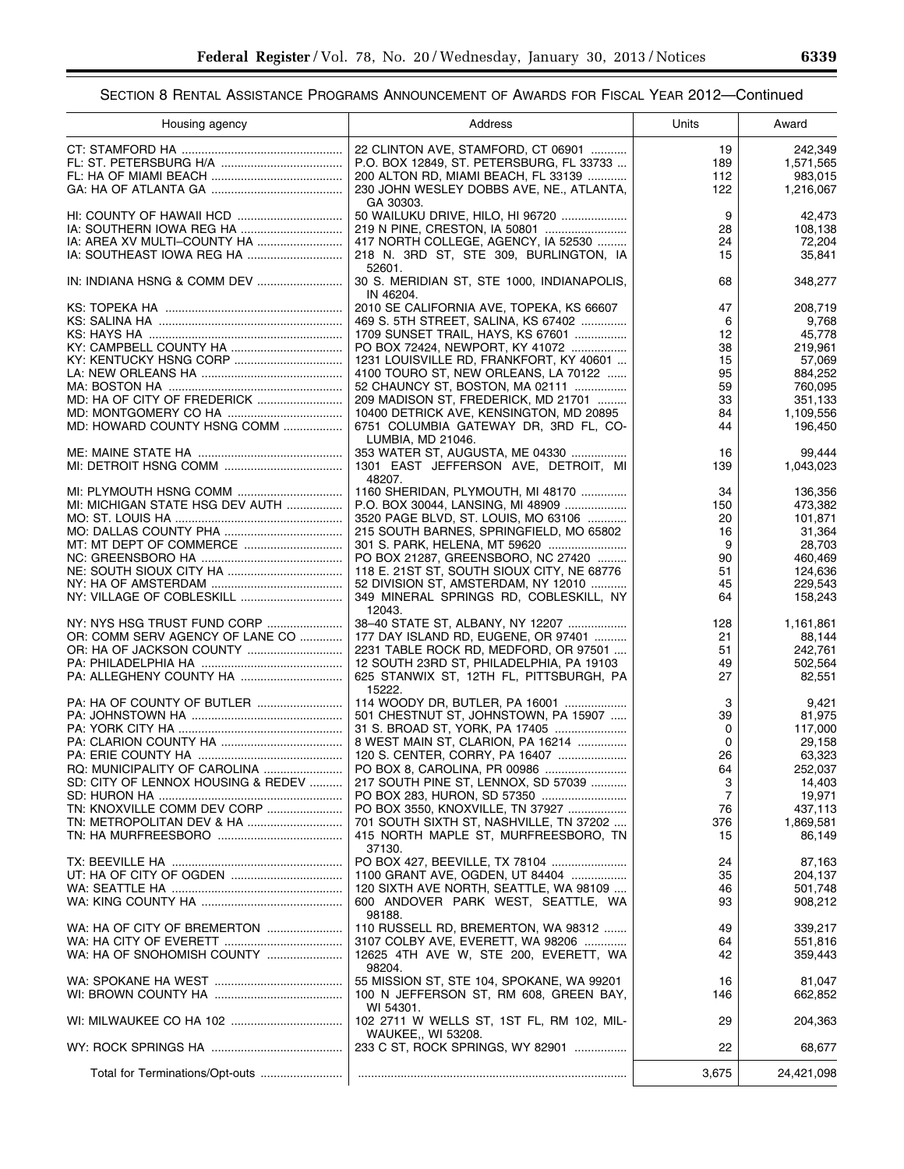| Housing agency                     | Address                                    | Units          | Award      |
|------------------------------------|--------------------------------------------|----------------|------------|
|                                    | 22 CLINTON AVE, STAMFORD, CT 06901         | 19             | 242,349    |
|                                    | P.O. BOX 12849, ST. PETERSBURG, FL 33733   | 189            | 1,571,565  |
|                                    | 200 ALTON RD, MIAMI BEACH, FL 33139        | 112            | 983,015    |
|                                    | 230 JOHN WESLEY DOBBS AVE, NE., ATLANTA,   | 122            | 1,216,067  |
|                                    | GA 30303.                                  |                |            |
|                                    | 50 WAILUKU DRIVE, HILO, HI 96720           | 9              | 42,473     |
|                                    |                                            | 28             | 108,138    |
|                                    | 417 NORTH COLLEGE, AGENCY, IA 52530        | 24             | 72,204     |
|                                    | 218 N. 3RD ST, STE 309, BURLINGTON, IA     | 15             | 35,841     |
|                                    | 52601.                                     |                |            |
| IN: INDIANA HSNG & COMM DEV        | 30 S. MERIDIAN ST, STE 1000, INDIANAPOLIS, | 68             | 348,277    |
|                                    | IN 46204.                                  |                |            |
|                                    | 2010 SE CALIFORNIA AVE, TOPEKA, KS 66607   | 47             | 208,719    |
|                                    | 469 S. 5TH STREET, SALINA, KS 67402        | 6              | 9,768      |
|                                    | 1709 SUNSET TRAIL, HAYS, KS 67601          | 12             | 45,778     |
|                                    | PO BOX 72424, NEWPORT, KY 41072            | 38             | 219,961    |
| KY: KENTUCKY HSNG CORP             | 1231 LOUISVILLE RD, FRANKFORT, KY 40601    | 15             | 57,069     |
|                                    | 4100 TOURO ST, NEW ORLEANS, LA 70122       | 95             | 884,252    |
|                                    | 52 CHAUNCY ST, BOSTON, MA 02111            | 59             | 760,095    |
|                                    | 209 MADISON ST, FREDERICK, MD 21701        | 33             | 351,133    |
|                                    | 10400 DETRICK AVE, KENSINGTON, MD 20895    | 84             | 1,109,556  |
| MD: HOWARD COUNTY HSNG COMM        | 6751 COLUMBIA GATEWAY DR, 3RD FL, CO-      | 44             | 196,450    |
|                                    | LUMBIA, MD 21046.                          |                |            |
|                                    | 353 WATER ST, AUGUSTA, ME 04330            | 16             | 99,444     |
|                                    | 1301 EAST JEFFERSON AVE, DETROIT, MI       | 139            | 1,043,023  |
|                                    | 48207.                                     |                |            |
|                                    | 1160 SHERIDAN, PLYMOUTH, MI 48170          | 34             | 136,356    |
| MI: MICHIGAN STATE HSG DEV AUTH    | P.O. BOX 30044, LANSING, MI 48909          | 150            | 473.382    |
|                                    | 3520 PAGE BLVD, ST. LOUIS, MO 63106        | 20             | 101,871    |
|                                    | 215 SOUTH BARNES, SPRINGFIELD, MO 65802    | 16             | 31,364     |
|                                    | 301 S. PARK, HELENA, MT 59620              | 9              | 28,703     |
|                                    | PO BOX 21287, GREENSBORO, NC 27420         | 90             | 460,469    |
|                                    | 118 E. 21ST ST, SOUTH SIOUX CITY, NE 68776 | 51             | 124,636    |
|                                    | 52 DIVISION ST, AMSTERDAM, NY 12010        | 45             | 229,543    |
|                                    | 349 MINERAL SPRINGS RD, COBLESKILL, NY     | 64             | 158,243    |
|                                    | 12043.                                     |                |            |
| NY: NYS HSG TRUST FUND CORP        | 38-40 STATE ST, ALBANY, NY 12207           | 128            | 1,161,861  |
| OR: COMM SERV AGENCY OF LANE CO    | 177 DAY ISLAND RD, EUGENE, OR 97401        | 21             | 88,144     |
|                                    | 2231 TABLE ROCK RD, MEDFORD, OR 97501      | 51             | 242,761    |
|                                    | 12 SOUTH 23RD ST, PHILADELPHIA, PA 19103   | 49             | 502,564    |
|                                    | 625 STANWIX ST, 12TH FL, PITTSBURGH, PA    | 27             | 82,551     |
|                                    | 15222.                                     |                |            |
|                                    | 114 WOODY DR, BUTLER, PA 16001             | 3              | 9,421      |
|                                    | 501 CHESTNUT ST, JOHNSTOWN, PA 15907       | 39             | 81,975     |
|                                    | 31 S. BROAD ST, YORK, PA 17405             | 0              | 117,000    |
|                                    | 8 WEST MAIN ST, CLARION, PA 16214          | 0              | 29,158     |
|                                    | 120 S. CENTER, CORRY, PA 16407             | 26             | 63,323     |
| RQ: MUNICIPALITY OF CAROLINA       | PO BOX 8, CAROLINA, PR 00986               | 64             | 252,037    |
| SD: CITY OF LENNOX HOUSING & REDEV | 217 SOUTH PINE ST, LENNOX, SD 57039        | 3              | 14,403     |
|                                    |                                            | $\overline{7}$ | 19,971     |
| TN: KNOXVILLE COMM DEV CORP        | PO BOX 3550, KNOXVILLE, TN 37927           | 76             | 437,113    |
|                                    | 701 SOUTH SIXTH ST, NASHVILLE, TN 37202    | 376            | 1,869,581  |
|                                    | 415 NORTH MAPLE ST, MURFREESBORO, TN       | 15             | 86,149     |
|                                    | 37130.                                     |                |            |
|                                    | PO BOX 427, BEEVILLE, TX 78104             | 24             | 87,163     |
|                                    | 1100 GRANT AVE, OGDEN, UT 84404            | 35             | 204,137    |
|                                    | 120 SIXTH AVE NORTH, SEATTLE, WA 98109     | 46             | 501,748    |
|                                    | 600 ANDOVER PARK WEST, SEATTLE, WA         | 93             | 908,212    |
|                                    | 98188.                                     |                |            |
| WA: HA OF CITY OF BREMERTON        | 110 RUSSELL RD, BREMERTON, WA 98312        | 49             | 339,217    |
|                                    | 3107 COLBY AVE, EVERETT, WA 98206          | 64             | 551,816    |
| WA: HA OF SNOHOMISH COUNTY         | 12625 4TH AVE W, STE 200, EVERETT, WA      | 42             | 359,443    |
|                                    | 98204.                                     |                |            |
|                                    | 55 MISSION ST, STE 104, SPOKANE, WA 99201  | 16             | 81,047     |
|                                    | 100 N JEFFERSON ST, RM 608, GREEN BAY,     | 146            | 662,852    |
|                                    | WI 54301.                                  |                |            |
|                                    | 102 2711 W WELLS ST, 1ST FL, RM 102, MIL-  | 29             | 204,363    |
|                                    | WAUKEE,, WI 53208.                         |                |            |
|                                    | 233 C ST, ROCK SPRINGS, WY 82901           | 22             | 68,677     |
|                                    |                                            |                |            |
| Total for Terminations/Opt-outs    |                                            | 3,675          | 24,421,098 |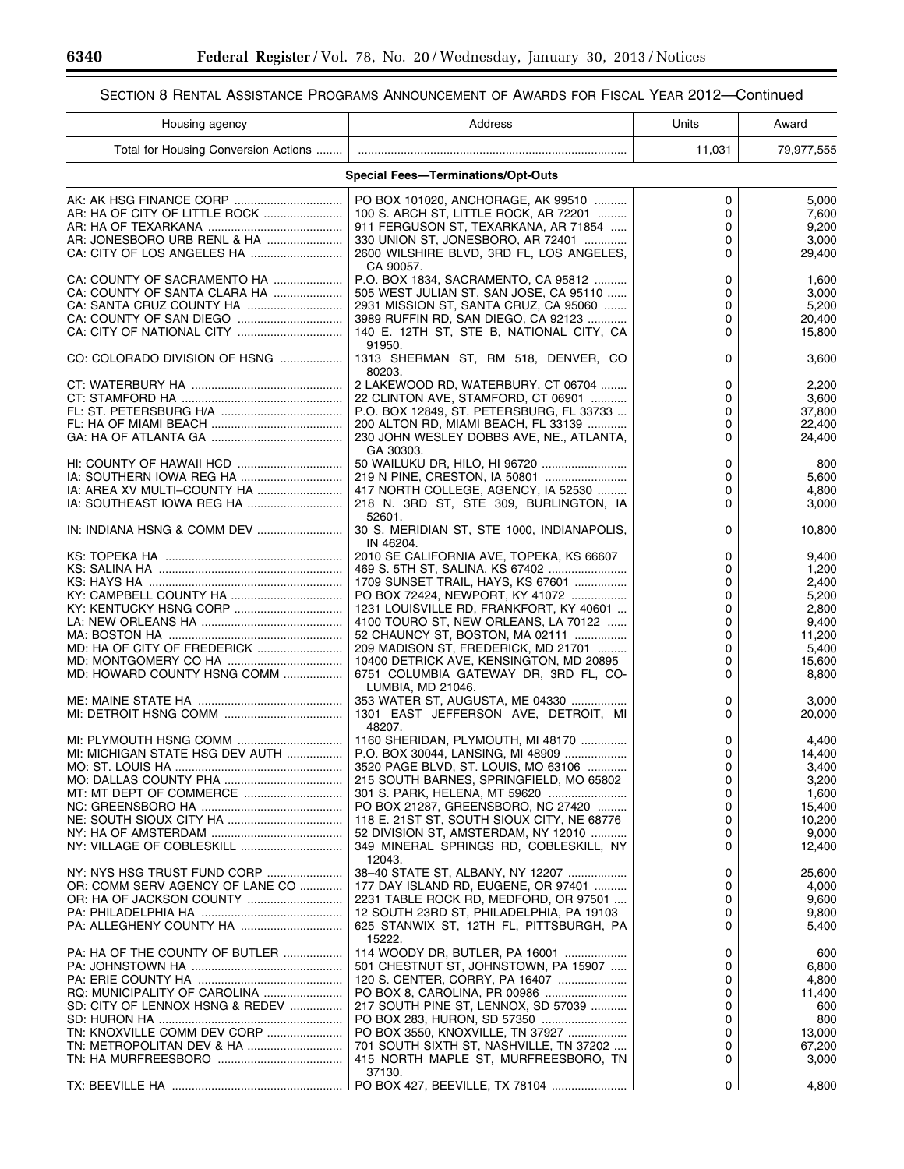٠

# SECTION 8 RENTAL ASSISTANCE PROGRAMS ANNOUNCEMENT OF AWARDS FOR FISCAL YEAR 2012—Continued

| Housing agency                       | Address                                                 | Units       | Award      |
|--------------------------------------|---------------------------------------------------------|-------------|------------|
| Total for Housing Conversion Actions |                                                         | 11,031      | 79,977,555 |
|                                      | <b>Special Fees-Terminations/Opt-Outs</b>               |             |            |
|                                      | PO BOX 101020, ANCHORAGE, AK 99510                      | 0           | 5.000      |
|                                      | 100 S. ARCH ST, LITTLE ROCK, AR 72201                   | 0           | 7,600      |
|                                      | 911 FERGUSON ST, TEXARKANA, AR 71854                    | $\mathbf 0$ | 9,200      |
| AR: JONESBORO URB RENL & HA          | 330 UNION ST, JONESBORO, AR 72401                       | 0           | 3,000      |
|                                      | 2600 WILSHIRE BLVD, 3RD FL, LOS ANGELES,                | 0           | 29,400     |
|                                      | CA 90057.                                               |             |            |
| CA: COUNTY OF SACRAMENTO HA          | P.O. BOX 1834, SACRAMENTO, CA 95812                     | 0           | 1,600      |
| CA: COUNTY OF SANTA CLARA HA         | 505 WEST JULIAN ST. SAN JOSE, CA 95110                  | 0           | 3,000      |
| CA: SANTA CRUZ COUNTY HA             | 2931 MISSION ST, SANTA CRUZ, CA 95060                   | 0           | 5,200      |
|                                      | 3989 RUFFIN RD, SAN DIEGO, CA 92123                     | 0           | 20,400     |
|                                      | 140 E. 12TH ST, STE B, NATIONAL CITY, CA                | 0           | 15,800     |
| CO: COLORADO DIVISION OF HSNG        | 91950.<br>1313 SHERMAN ST, RM 518, DENVER, CO<br>80203. | 0           | 3,600      |
|                                      | 2 LAKEWOOD RD, WATERBURY, CT 06704                      | 0           | 2,200      |
|                                      | 22 CLINTON AVE, STAMFORD, CT 06901                      | 0           | 3,600      |
|                                      | P.O. BOX 12849. ST. PETERSBURG. FL 33733                | 0           | 37,800     |
|                                      | 200 ALTON RD, MIAMI BEACH, FL 33139                     | 0           | 22,400     |
|                                      | 230 JOHN WESLEY DOBBS AVE, NE., ATLANTA,                | 0           | 24,400     |
|                                      | GA 30303.                                               |             |            |
|                                      |                                                         | 0           | 800        |
|                                      | 219 N PINE, CRESTON, IA 50801                           | $\Omega$    | 5.600      |
| IA: AREA XV MULTI-COUNTY HA          | 417 NORTH COLLEGE, AGENCY, IA 52530                     | 0           | 4,800      |
|                                      | 218 N. 3RD ST, STE 309, BURLINGTON, IA                  | 0           | 3,000      |
|                                      | 52601.                                                  |             |            |
|                                      | 30 S. MERIDIAN ST, STE 1000, INDIANAPOLIS,<br>IN 46204. | 0           | 10,800     |
|                                      | 2010 SE CALIFORNIA AVE, TOPEKA, KS 66607                | 0           | 9,400      |
|                                      | 469 S. 5TH ST, SALINA, KS 67402                         | $\Omega$    | 1,200      |
|                                      | 1709 SUNSET TRAIL, HAYS, KS 67601                       | $\Omega$    | 2,400      |
|                                      | PO BOX 72424, NEWPORT, KY 41072                         | $\mathbf 0$ | 5,200      |
|                                      | 1231 LOUISVILLE RD, FRANKFORT, KY 40601                 | 0           | 2,800      |
|                                      | 4100 TOURO ST, NEW ORLEANS, LA 70122                    | 0           | 9,400      |
|                                      | 52 CHAUNCY ST, BOSTON, MA 02111                         | 0           | 11,200     |
|                                      | 209 MADISON ST, FREDERICK, MD 21701                     | $\mathbf 0$ | 5,400      |
|                                      | 10400 DETRICK AVE, KENSINGTON, MD 20895                 | 0           | 15,600     |
| MD: HOWARD COUNTY HSNG COMM          | 6751 COLUMBIA GATEWAY DR, 3RD FL, CO-                   | 0           | 8,800      |
|                                      | LUMBIA, MD 21046.                                       |             |            |
|                                      | 353 WATER ST, AUGUSTA, ME 04330                         | 0           | 3,000      |
|                                      | 1301 EAST JEFFERSON AVE, DETROIT, MI                    | 0           | 20,000     |
|                                      | 48207.                                                  |             |            |
|                                      | 1160 SHERIDAN, PLYMOUTH, MI 48170                       | 0           | 4,400      |
| MI: MICHIGAN STATE HSG DEV AUTH      | P.O. BOX 30044, LANSING, MI 48909                       | 0           | 14,400     |
|                                      | 3520 PAGE BLVD, ST. LOUIS, MO 63106                     | $\Omega$    | 3,400      |
|                                      | 215 SOUTH BARNES, SPRINGFIELD, MO 65802                 | 0           | 3,200      |
|                                      | 301 S. PARK, HELENA, MT 59620                           | 0           | 1,600      |
|                                      | PO BOX 21287, GREENSBORO, NC 27420                      | 0           | 15,400     |
|                                      | 118 E. 21ST ST, SOUTH SIOUX CITY, NE 68776              | 0           | 10,200     |
|                                      | 52 DIVISION ST, AMSTERDAM, NY 12010                     | 0           | 9,000      |
|                                      | 349 MINERAL SPRINGS RD, COBLESKILL, NY                  | 0           | 12,400     |
|                                      | 12043.                                                  |             |            |
| NY: NYS HSG TRUST FUND CORP          | 38-40 STATE ST, ALBANY, NY 12207                        | 0           | 25,600     |
| OR: COMM SERV AGENCY OF LANE CO      | 177 DAY ISLAND RD, EUGENE, OR 97401                     | 0           | 4,000      |
|                                      | 2231 TABLE ROCK RD, MEDFORD, OR 97501                   | 0           | 9,600      |
|                                      | 12 SOUTH 23RD ST, PHILADELPHIA, PA 19103                | 0           | 9,800      |
|                                      | 625 STANWIX ST, 12TH FL, PITTSBURGH, PA<br>15222.       | 0           | 5,400      |
| PA: HA OF THE COUNTY OF BUTLER       | 114 WOODY DR, BUTLER, PA 16001                          | 0           | 600        |
|                                      | 501 CHESTNUT ST, JOHNSTOWN, PA 15907                    | 0           | 6,800      |
|                                      | 120 S. CENTER, CORRY, PA 16407                          | 0           | 4,800      |
|                                      | PO BOX 8, CAROLINA, PR 00986                            | 0           | 11,400     |
| SD: CITY OF LENNOX HSNG & REDEV      | 217 SOUTH PINE ST, LENNOX, SD 57039                     | 0           | 600        |
|                                      |                                                         | 0           | 800        |
| TN: KNOXVILLE COMM DEV CORP          | PO BOX 3550, KNOXVILLE, TN 37927                        | 0           | 13,000     |
|                                      | 701 SOUTH SIXTH ST, NASHVILLE, TN 37202                 | 0           | 67,200     |
|                                      | 415 NORTH MAPLE ST, MURFREESBORO, TN                    | 0           | 3,000      |
|                                      | 37130.                                                  |             |            |
|                                      | PO BOX 427, BEEVILLE, TX 78104                          | 0           | 4,800      |
|                                      |                                                         |             |            |

п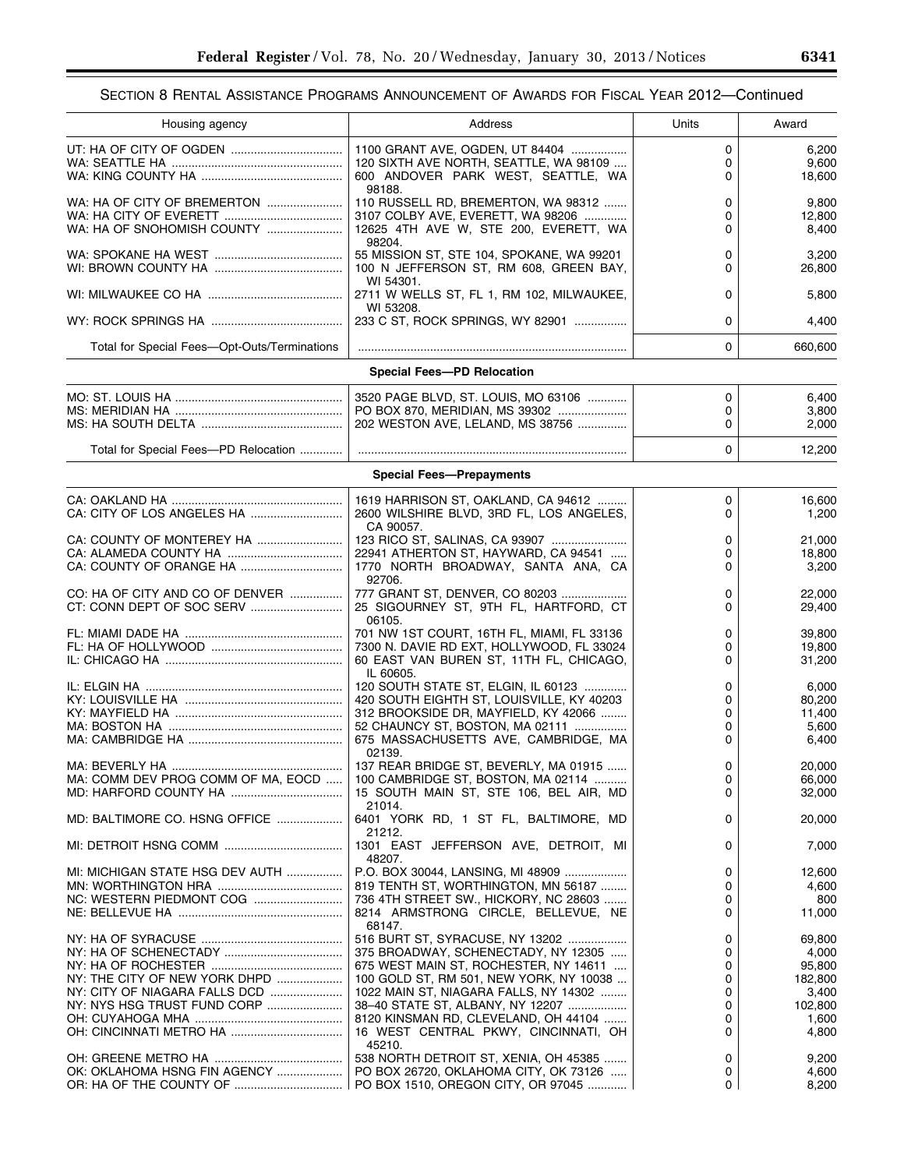| Housing agency                               | Address                                         | Units       | Award   |
|----------------------------------------------|-------------------------------------------------|-------------|---------|
|                                              | 1100 GRANT AVE, OGDEN, UT 84404                 | $\Omega$    |         |
|                                              |                                                 |             | 6,200   |
|                                              | 120 SIXTH AVE NORTH, SEATTLE, WA 98109          | 0           | 9,600   |
|                                              | 600 ANDOVER PARK WEST, SEATTLE, WA<br>98188.    | 0           | 18,600  |
| WA: HA OF CITY OF BREMERTON                  | 110 RUSSELL RD, BREMERTON, WA 98312             | $\Omega$    | 9,800   |
|                                              | 3107 COLBY AVE, EVERETT, WA 98206               | 0           | 12,800  |
| WA: HA OF SNOHOMISH COUNTY                   |                                                 | 0           |         |
|                                              | 12625 4TH AVE W, STE 200, EVERETT, WA<br>98204. |             | 8,400   |
|                                              |                                                 |             |         |
|                                              | 55 MISSION ST, STE 104, SPOKANE, WA 99201       | 0           | 3,200   |
|                                              | 100 N JEFFERSON ST, RM 608, GREEN BAY,          | 0           | 26,800  |
|                                              | WI 54301.                                       |             |         |
|                                              | 2711 W WELLS ST, FL 1, RM 102, MILWAUKEE,       | 0           | 5,800   |
|                                              | WI 53208.                                       |             |         |
|                                              | 233 C ST, ROCK SPRINGS, WY 82901                | 0           | 4,400   |
|                                              |                                                 |             |         |
| Total for Special Fees-Opt-Outs/Terminations |                                                 | $\Omega$    | 660,600 |
|                                              | <b>Special Fees-PD Relocation</b>               |             |         |
|                                              | 3520 PAGE BLVD, ST. LOUIS, MO 63106             | $\mathbf 0$ | 6,400   |
|                                              | PO BOX 870, MERIDIAN, MS 39302                  | 0           | 3,800   |
|                                              | 202 WESTON AVE, LELAND, MS 38756                | 0           | 2,000   |
|                                              |                                                 |             |         |
| Total for Special Fees-PD Relocation         |                                                 | $\Omega$    | 12,200  |
|                                              |                                                 |             |         |
|                                              | <b>Special Fees-Prepayments</b>                 |             |         |
|                                              | 1619 HARRISON ST, OAKLAND, CA 94612             | 0           | 16,600  |
|                                              | 2600 WILSHIRE BLVD, 3RD FL, LOS ANGELES,        | 0           | 1,200   |
|                                              | CA 90057.                                       |             |         |
|                                              | 123 RICO ST, SALINAS, CA 93907                  | 0           | 21,000  |
|                                              |                                                 |             |         |
|                                              | 22941 ATHERTON ST, HAYWARD, CA 94541            | 0           | 18,800  |
|                                              | 1770 NORTH BROADWAY, SANTA ANA, CA              | 0           | 3,200   |
|                                              | 92706.                                          |             |         |
| CO: HA OF CITY AND CO OF DENVER              | 777 GRANT ST, DENVER, CO 80203                  | 0           | 22,000  |
|                                              | 25 SIGOURNEY ST, 9TH FL, HARTFORD, CT           | 0           | 29,400  |
|                                              | 06105.                                          |             |         |
|                                              | 701 NW 1ST COURT, 16TH FL, MIAMI, FL 33136      | 0           | 39,800  |
|                                              | 7300 N. DAVIE RD EXT, HOLLYWOOD, FL 33024       | 0           | 19,800  |
|                                              | 60 EAST VAN BUREN ST, 11TH FL, CHICAGO,         | $\Omega$    | 31,200  |
|                                              | IL 60605.                                       |             |         |
|                                              | 120 SOUTH STATE ST, ELGIN, IL 60123             | 0           | 6,000   |
|                                              | 420 SOUTH EIGHTH ST, LOUISVILLE, KY 40203       | 0           | 80,200  |
|                                              | 312 BROOKSIDE DR, MAYFIELD, KY 42066            | $\Omega$    | 11,400  |
|                                              | 52 CHAUNCY ST, BOSTON, MA 02111                 | 0           | 5,600   |
|                                              | 675 MASSACHUSETTS AVE, CAMBRIDGE, MA            | 0           | 6,400   |
|                                              | 02139.                                          |             |         |
|                                              | 137 REAR BRIDGE ST, BEVERLY, MA 01915           | 0           | 20,000  |
| MA: COMM DEV PROG COMM OF MA, EOCD           | 100 CAMBRIDGE ST, BOSTON, MA 02114              | 0           | 66,000  |
|                                              | 15 SOUTH MAIN ST, STE 106, BEL AIR, MD          | 0           | 32,000  |
|                                              | 21014.                                          |             |         |
| MD: BALTIMORE CO. HSNG OFFICE                | 6401 YORK RD, 1 ST FL, BALTIMORE, MD            | 0           | 20,000  |
|                                              | 21212.                                          |             |         |
|                                              | 1301 EAST JEFFERSON AVE, DETROIT, MI            | 0           | 7,000   |
|                                              | 48207.                                          |             |         |
| MI: MICHIGAN STATE HSG DEV AUTH              | P.O. BOX 30044, LANSING, MI 48909               | 0           | 12,600  |
|                                              |                                                 | 0           |         |
|                                              | 819 TENTH ST, WORTHINGTON, MN 56187             |             | 4,600   |
| NC: WESTERN PIEDMONT COG                     | 736 4TH STREET SW., HICKORY, NC 28603           | 0           | 800     |
|                                              | 8214 ARMSTRONG CIRCLE, BELLEVUE, NE             | 0           | 11,000  |
|                                              | 68147.                                          |             |         |
|                                              | 516 BURT ST, SYRACUSE, NY 13202                 | 0           | 69,800  |
|                                              | 375 BROADWAY, SCHENECTADY, NY 12305             | 0           | 4,000   |
|                                              | 675 WEST MAIN ST, ROCHESTER, NY 14611           | 0           | 95,800  |
| NY: THE CITY OF NEW YORK DHPD                | 100 GOLD ST, RM 501, NEW YORK, NY 10038         | 0           | 182,800 |
| NY: CITY OF NIAGARA FALLS DCD                | 1022 MAIN ST, NIAGARA FALLS, NY 14302           | 0           | 3,400   |
| NY: NYS HSG TRUST FUND CORP                  | 38-40 STATE ST, ALBANY, NY 12207                | 0           | 102,800 |
|                                              | 8120 KINSMAN RD, CLEVELAND, OH 44104            | 0           | 1,600   |
|                                              | 16 WEST CENTRAL PKWY, CINCINNATI, OH            | 0           | 4,800   |
|                                              | 45210.                                          |             |         |
|                                              | 538 NORTH DETROIT ST, XENIA, OH 45385           | 0           | 9,200   |
| OK: OKLAHOMA HSNG FIN AGENCY                 | PO BOX 26720, OKLAHOMA CITY, OK 73126           | 0           | 4,600   |
|                                              | PO BOX 1510, OREGON CITY, OR 97045              | 0           | 8,200   |
|                                              |                                                 |             |         |